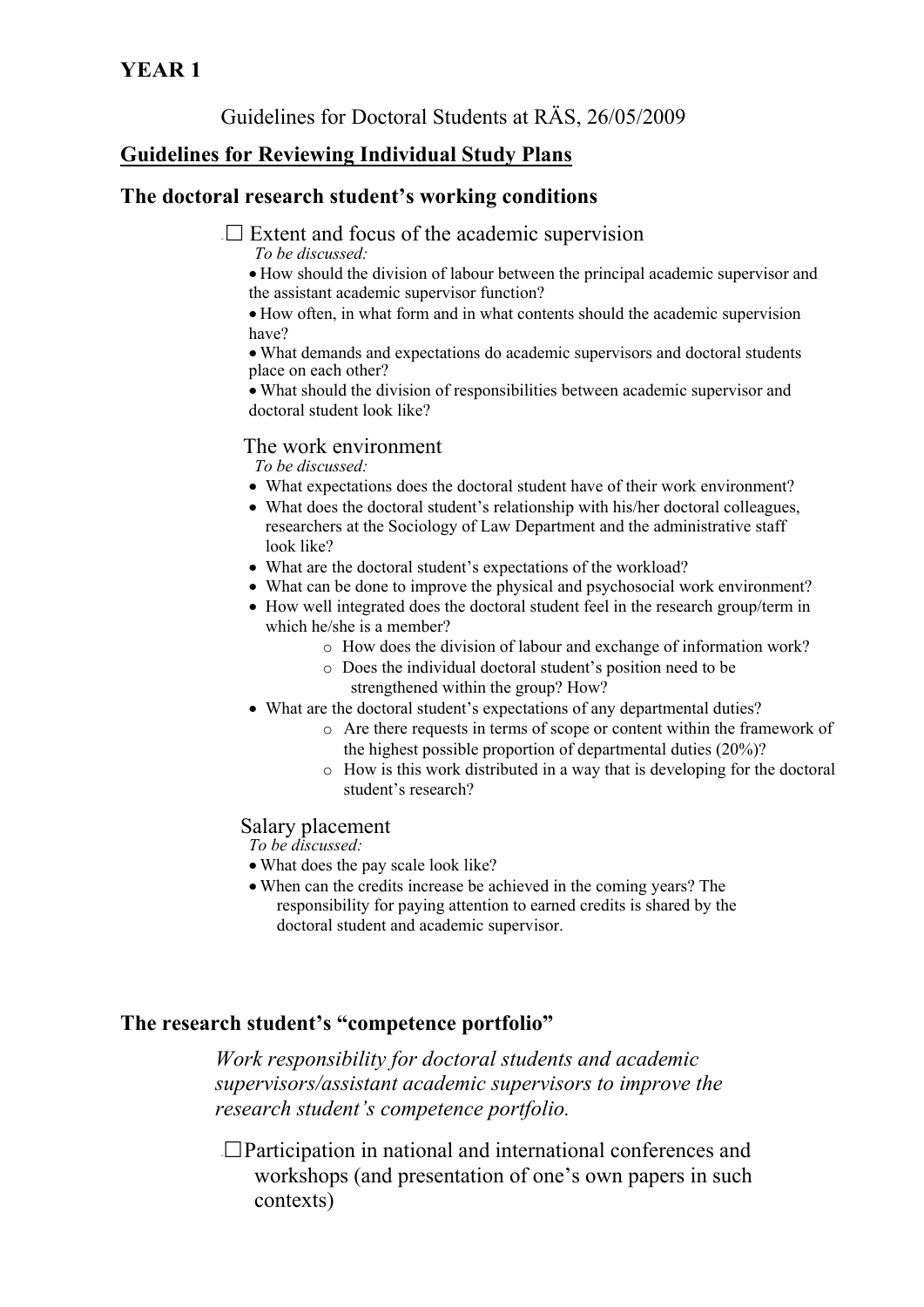Guidelines for Doctoral Students at RÄS, 26/05/2009

# **Guidelines for Reviewing Individual Study Plans**

# **The doctoral research student's working conditions**

 $\Box$  Extent and focus of the academic supervision

*To be discussed:* 

 How should the division of labour between the principal academic supervisor and the assistant academic supervisor function?

 How often, in what form and in what contents should the academic supervision have?

 What demands and expectations do academic supervisors and doctoral students place on each other?

 What should the division of responsibilities between academic supervisor and doctoral student look like?

#### The work environment

*To be discussed:* 

- What expectations does the doctoral student have of their work environment?
- What does the doctoral student's relationship with his/her doctoral colleagues, researchers at the Sociology of Law Department and the administrative staff look like?
- What are the doctoral student's expectations of the workload?
- What can be done to improve the physical and psychosocial work environment?
- How well integrated does the doctoral student feel in the research group/term in which he/she is a member?
	- o How does the division of labour and exchange of information work?
	- o Does the individual doctoral student's position need to be strengthened within the group? How?
- What are the doctoral student's expectations of any departmental duties?
	- o Are there requests in terms of scope or content within the framework of the highest possible proportion of departmental duties (20%)?
	- o How is this work distributed in a way that is developing for the doctoral student's research?

## Salary placement

*To be discussed:* 

- What does the pay scale look like?
- When can the credits increase be achieved in the coming years? The responsibility for paying attention to earned credits is shared by the doctoral student and academic supervisor.

## **The research student's "competence portfolio"**

*Work responsibility for doctoral students and academic supervisors/assistant academic supervisors to improve the research student's competence portfolio.* 

 $\Box$ Participation in national and international conferences and workshops (and presentation of one's own papers in such contexts)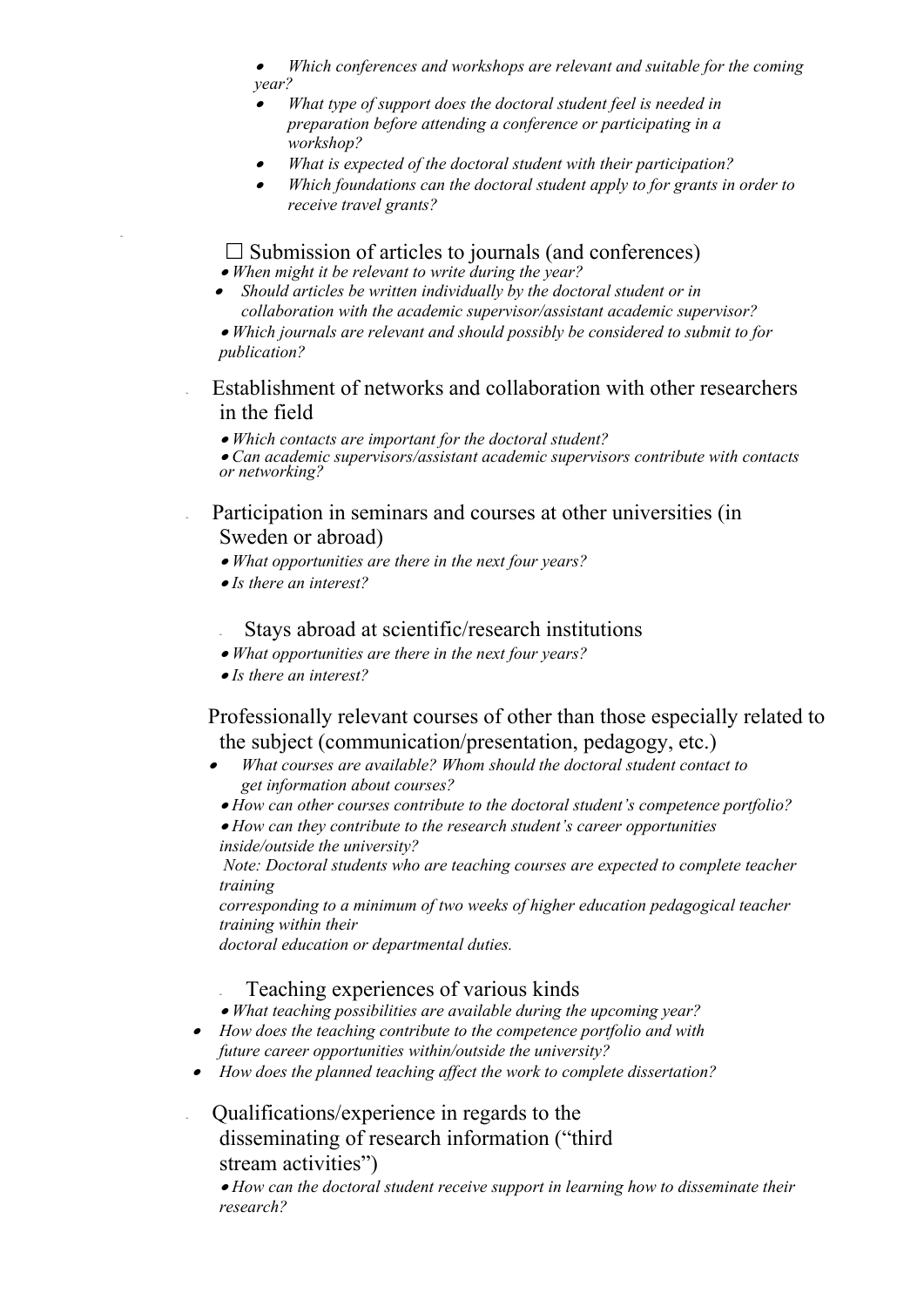- ∙ *Which conferences and workshops are relevant and suitable for the coming year?*
- . *What type of support does the doctoral student feel is needed in preparation before attending a conference or participating in a workshop?*
- ∙ *What is expected of the doctoral student with their participation?*
- $\bullet$  *Which foundations can the doctoral student apply to for grants in order to receive travel grants?*

 $\square$  Submission of articles to journals (and conferences)

*When might it be relevant to write during the year?* 

 *Should articles be written individually by the doctoral student or in collaboration with the academic supervisor/assistant academic supervisor?* 

 *Which journals are relevant and should possibly be considered to submit to for publication?* 

Establishment of networks and collaboration with other researchers in the field

*Which contacts are important for the doctoral student?* 

*Can academic supervisors/assistant academic supervisors contribute with contacts or networking?* 

Participation in seminars and courses at other universities (in Sweden or abroad)

- *What opportunities are there in the next four years?*
- *Is there an interest?*

~

- Stays abroad at scientific/research institutions
- *What opportunities are there in the next four years?*
- *Is there an interest?*

 Professionally relevant courses of other than those especially related to the subject (communication/presentation, pedagogy, etc.)

- . *What courses are available? Whom should the doctoral student contact to get information about courses?* 
	- *How can other courses contribute to the doctoral student's competence portfolio?*
- *How can they contribute to the research student's career opportunities inside/outside the university?*

 *Note: Doctoral students who are teaching courses are expected to complete teacher training* 

*corresponding to a minimum of two weeks of higher education pedagogical teacher training within their* 

*doctoral education or departmental duties.* 

Teaching experiences of various kinds

*What teaching possibilities are available during the upcoming year?* 

- *How does the teaching contribute to the competence portfolio and with future career opportunities within/outside the university?*
- *How does the planned teaching affect the work to complete dissertation?*

<sup>~</sup> Qualifications/experience in regards to the disseminating of research information ("third stream activities")

 *How can the doctoral student receive support in learning how to disseminate their research?*